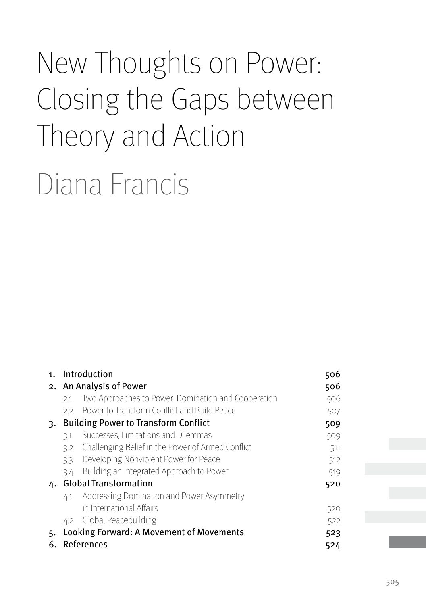# New Thoughts on Power: Closing the Gaps between Theory and Action

Diana Francis

| 1. | Introduction                                |                                                     | 506 |
|----|---------------------------------------------|-----------------------------------------------------|-----|
|    | 2. An Analysis of Power                     |                                                     |     |
|    | 2.1                                         | Two Approaches to Power: Domination and Cooperation | 506 |
|    | 22                                          | Power to Transform Conflict and Build Peace         | 507 |
| 3. | <b>Building Power to Transform Conflict</b> |                                                     | 509 |
|    | 3.1                                         | Successes, Limitations and Dilemmas                 | 509 |
|    | 3.2                                         | Challenging Belief in the Power of Armed Conflict   | 511 |
|    | 3.3                                         | Developing Nonviolent Power for Peace               | 512 |
|    | 3.4                                         | Building an Integrated Approach to Power            | 519 |
| 4. | <b>Global Transformation</b>                |                                                     | 520 |
|    | $\angle 1$                                  | Addressing Domination and Power Asymmetry           |     |
|    |                                             | in International Affairs                            | 520 |
|    |                                             | 4.2 Global Peacebuilding                            | 522 |
| 5. | Looking Forward: A Movement of Movements    |                                                     | 523 |
| 6. | References                                  |                                                     | 524 |
|    |                                             |                                                     |     |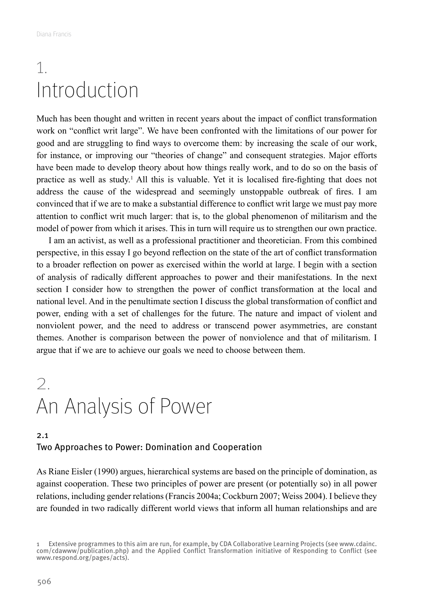# <span id="page-1-0"></span>1. Introduction

Much has been thought and written in recent years about the impact of conflict transformation work on "conflict writ large". We have been confronted with the limitations of our power for good and are struggling to find ways to overcome them: by increasing the scale of our work, for instance, or improving our "theories of change" and consequent strategies. Major efforts have been made to develop theory about how things really work, and to do so on the basis of practice as well as study.1 All this is valuable. Yet it is localised fire-fighting that does not address the cause of the widespread and seemingly unstoppable outbreak of fires. I am convinced that if we are to make a substantial difference to conflict writ large we must pay more attention to conflict writ much larger: that is, to the global phenomenon of militarism and the model of power from which it arises. This in turn will require us to strengthen our own practice.

I am an activist, as well as a professional practitioner and theoretician. From this combined perspective, in this essay I go beyond reflection on the state of the art of conflict transformation to a broader reflection on power as exercised within the world at large. I begin with a section of analysis of radically different approaches to power and their manifestations. In the next section I consider how to strengthen the power of conflict transformation at the local and national level. And in the penultimate section I discuss the global transformation of conflict and power, ending with a set of challenges for the future. The nature and impact of violent and nonviolent power, and the need to address or transcend power asymmetries, are constant themes. Another is comparison between the power of nonviolence and that of militarism. I argue that if we are to achieve our goals we need to choose between them.

# 2. An Analysis of Power

## 2.1 Two Approaches to Power: Domination and Cooperation

As Riane Eisler (1990) argues, hierarchical systems are based on the principle of domination, as against cooperation. These two principles of power are present (or potentially so) in all power relations, including gender relations (Francis 2004a; Cockburn 2007; Weiss 2004). I believe they are founded in two radically different world views that inform all human relationships and are

<sup>1</sup> Extensive programmes to this aim are run, for example, by CDA Collaborative Learning Projects (see www.cdainc. com/cdawww/publication.php) and the Applied Conflict Transformation initiative of Responding to Conflict (see www.respond.org/pages/acts).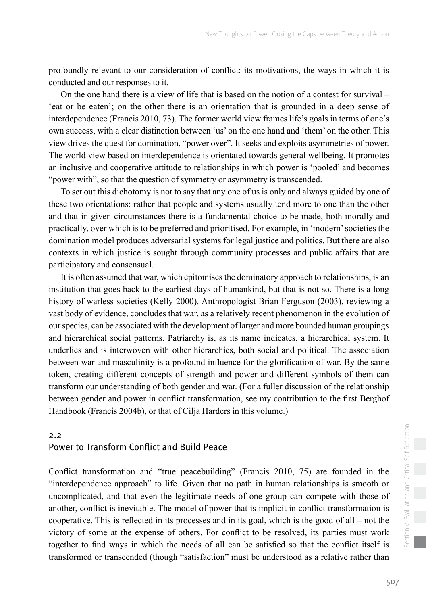<span id="page-2-0"></span>profoundly relevant to our consideration of conflict: its motivations, the ways in which it is conducted and our responses to it.

On the one hand there is a view of life that is based on the notion of a contest for survival – 'eat or be eaten'; on the other there is an orientation that is grounded in a deep sense of interdependence (Francis 2010, 73). The former world view frames life's goals in terms of one's own success, with a clear distinction between 'us' on the one hand and 'them' on the other. This view drives the quest for domination, "power over". It seeks and exploits asymmetries of power. The world view based on interdependence is orientated towards general wellbeing. It promotes an inclusive and cooperative attitude to relationships in which power is 'pooled' and becomes "power with", so that the question of symmetry or asymmetry is transcended.

To set out this dichotomy is not to say that any one of us is only and always guided by one of these two orientations: rather that people and systems usually tend more to one than the other and that in given circumstances there is a fundamental choice to be made, both morally and practically, over which is to be preferred and prioritised. For example, in 'modern' societies the domination model produces adversarial systems for legal justice and politics. But there are also contexts in which justice is sought through community processes and public affairs that are participatory and consensual.

It is often assumed that war, which epitomises the dominatory approach to relationships, is an institution that goes back to the earliest days of humankind, but that is not so. There is a long history of warless societies (Kelly 2000). Anthropologist Brian Ferguson (2003), reviewing a vast body of evidence, concludes that war, as a relatively recent phenomenon in the evolution of our species, can be associated with the development of larger and more bounded human groupings and hierarchical social patterns. Patriarchy is, as its name indicates, a hierarchical system. It underlies and is interwoven with other hierarchies, both social and political. The association between war and masculinity is a profound influence for the glorification of war. By the same token, creating different concepts of strength and power and different symbols of them can transform our understanding of both gender and war. (For a fuller discussion of the relationship between gender and power in conflict transformation, see my contribution to the first Berghof Handbook (Francis 2004b), or that of Cilja Harders in this volume.)

### 2.2 Power to Transform Conflict and Build Peace

Conflict transformation and "true peacebuilding" (Francis 2010, 75) are founded in the "interdependence approach" to life. Given that no path in human relationships is smooth or uncomplicated, and that even the legitimate needs of one group can compete with those of another, conflict is inevitable. The model of power that is implicit in conflict transformation is cooperative. This is reflected in its processes and in its goal, which is the good of all – not the victory of some at the expense of others. For conflict to be resolved, its parties must work together to find ways in which the needs of all can be satisfied so that the conflict itself is transformed or transcended (though "satisfaction" must be understood as a relative rather than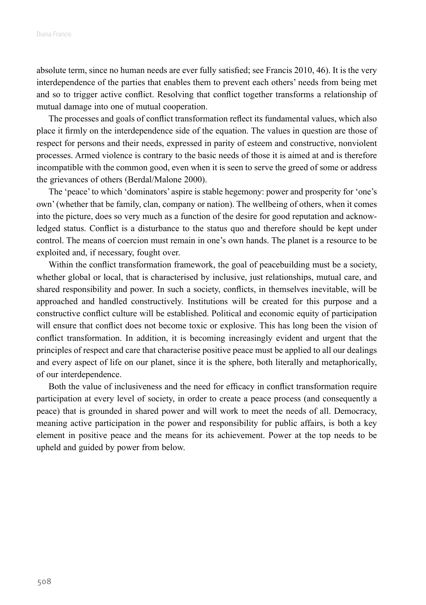absolute term, since no human needs are ever fully satisfied; see Francis 2010, 46). It is the very interdependence of the parties that enables them to prevent each others' needs from being met and so to trigger active conflict. Resolving that conflict together transforms a relationship of mutual damage into one of mutual cooperation.

The processes and goals of conflict transformation reflect its fundamental values, which also place it firmly on the interdependence side of the equation. The values in question are those of respect for persons and their needs, expressed in parity of esteem and constructive, nonviolent processes. Armed violence is contrary to the basic needs of those it is aimed at and is therefore incompatible with the common good, even when it is seen to serve the greed of some or address the grievances of others (Berdal/Malone 2000).

The 'peace' to which 'dominators' aspire is stable hegemony: power and prosperity for 'one's own' (whether that be family, clan, company or nation). The wellbeing of others, when it comes into the picture, does so very much as a function of the desire for good reputation and acknowledged status. Conflict is a disturbance to the status quo and therefore should be kept under control. The means of coercion must remain in one's own hands. The planet is a resource to be exploited and, if necessary, fought over.

Within the conflict transformation framework, the goal of peacebuilding must be a society, whether global or local, that is characterised by inclusive, just relationships, mutual care, and shared responsibility and power. In such a society, conflicts, in themselves inevitable, will be approached and handled constructively. Institutions will be created for this purpose and a constructive conflict culture will be established. Political and economic equity of participation will ensure that conflict does not become toxic or explosive. This has long been the vision of conflict transformation. In addition, it is becoming increasingly evident and urgent that the principles of respect and care that characterise positive peace must be applied to all our dealings and every aspect of life on our planet, since it is the sphere, both literally and metaphorically, of our interdependence.

Both the value of inclusiveness and the need for efficacy in conflict transformation require participation at every level of society, in order to create a peace process (and consequently a peace) that is grounded in shared power and will work to meet the needs of all. Democracy, meaning active participation in the power and responsibility for public affairs, is both a key element in positive peace and the means for its achievement. Power at the top needs to be upheld and guided by power from below.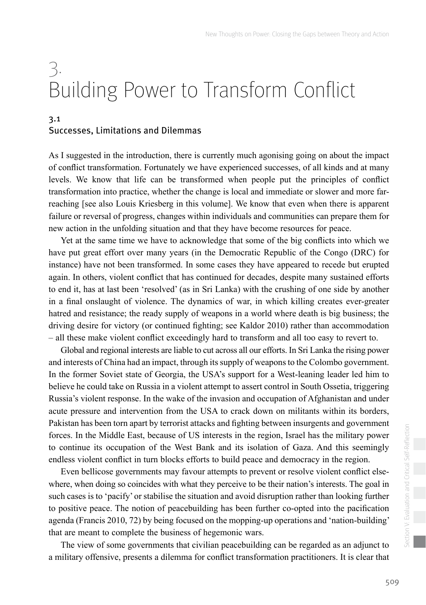# <span id="page-4-0"></span>3. Building Power to Transform Conflict

### 3.1 Successes, Limitations and Dilemmas

As I suggested in the introduction, there is currently much agonising going on about the impact of conflict transformation. Fortunately we have experienced successes, of all kinds and at many levels. We know that life can be transformed when people put the principles of conflict transformation into practice, whether the change is local and immediate or slower and more farreaching [see also Louis Kriesberg in this volume]. We know that even when there is apparent failure or reversal of progress, changes within individuals and communities can prepare them for new action in the unfolding situation and that they have become resources for peace.

Yet at the same time we have to acknowledge that some of the big conflicts into which we have put great effort over many years (in the Democratic Republic of the Congo (DRC) for instance) have not been transformed. In some cases they have appeared to recede but erupted again. In others, violent conflict that has continued for decades, despite many sustained efforts to end it, has at last been 'resolved' (as in Sri Lanka) with the crushing of one side by another in a final onslaught of violence. The dynamics of war, in which killing creates ever-greater hatred and resistance; the ready supply of weapons in a world where death is big business; the driving desire for victory (or continued fighting; see Kaldor 2010) rather than accommodation – all these make violent conflict exceedingly hard to transform and all too easy to revert to.

Global and regional interests are liable to cut across all our efforts. In Sri Lanka the rising power and interests of China had an impact, through its supply of weapons to the Colombo government. In the former Soviet state of Georgia, the USA's support for a West-leaning leader led him to believe he could take on Russia in a violent attempt to assert control in South Ossetia, triggering Russia's violent response. In the wake of the invasion and occupation of Afghanistan and under acute pressure and intervention from the USA to crack down on militants within its borders, Pakistan has been torn apart by terrorist attacks and fighting between insurgents and government forces. In the Middle East, because of US interests in the region, Israel has the military power to continue its occupation of the West Bank and its isolation of Gaza. And this seemingly endless violent conflict in turn blocks efforts to build peace and democracy in the region.

Even bellicose governments may favour attempts to prevent or resolve violent conflict elsewhere, when doing so coincides with what they perceive to be their nation's interests. The goal in such cases is to 'pacify' or stabilise the situation and avoid disruption rather than looking further to positive peace. The notion of peacebuilding has been further co-opted into the pacification agenda (Francis 2010, 72) by being focused on the mopping-up operations and 'nation-building' that are meant to complete the business of hegemonic wars.

The view of some governments that civilian peacebuilding can be regarded as an adjunct to a military offensive, presents a dilemma for conflict transformation practitioners. It is clear that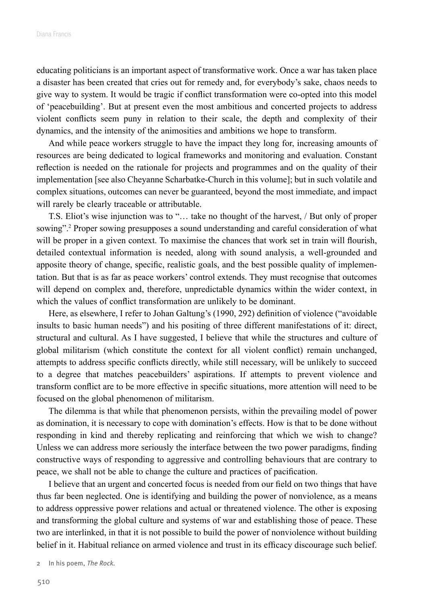educating politicians is an important aspect of transformative work. Once a war has taken place a disaster has been created that cries out for remedy and, for everybody's sake, chaos needs to give way to system. It would be tragic if conflict transformation were co-opted into this model of 'peacebuilding'. But at present even the most ambitious and concerted projects to address violent conflicts seem puny in relation to their scale, the depth and complexity of their dynamics, and the intensity of the animosities and ambitions we hope to transform.

And while peace workers struggle to have the impact they long for, increasing amounts of resources are being dedicated to logical frameworks and monitoring and evaluation. Constant reflection is needed on the rationale for projects and programmes and on the quality of their implementation [see also Cheyanne Scharbatke-Church in this volume]; but in such volatile and complex situations, outcomes can never be guaranteed, beyond the most immediate, and impact will rarely be clearly traceable or attributable.

T.S. Eliot's wise injunction was to "… take no thought of the harvest, / But only of proper sowing".<sup>2</sup> Proper sowing presupposes a sound understanding and careful consideration of what will be proper in a given context. To maximise the chances that work set in train will flourish, detailed contextual information is needed, along with sound analysis, a well-grounded and apposite theory of change, specific, realistic goals, and the best possible quality of implementation. But that is as far as peace workers' control extends. They must recognise that outcomes will depend on complex and, therefore, unpredictable dynamics within the wider context, in which the values of conflict transformation are unlikely to be dominant.

Here, as elsewhere, I refer to Johan Galtung's (1990, 292) definition of violence ("avoidable insults to basic human needs") and his positing of three different manifestations of it: direct, structural and cultural. As I have suggested, I believe that while the structures and culture of global militarism (which constitute the context for all violent conflict) remain unchanged, attempts to address specific conflicts directly, while still necessary, will be unlikely to succeed to a degree that matches peacebuilders' aspirations. If attempts to prevent violence and transform conflict are to be more effective in specific situations, more attention will need to be focused on the global phenomenon of militarism.

The dilemma is that while that phenomenon persists, within the prevailing model of power as domination, it is necessary to cope with domination's effects. How is that to be done without responding in kind and thereby replicating and reinforcing that which we wish to change? Unless we can address more seriously the interface between the two power paradigms, finding constructive ways of responding to aggressive and controlling behaviours that are contrary to peace, we shall not be able to change the culture and practices of pacification.

I believe that an urgent and concerted focus is needed from our field on two things that have thus far been neglected. One is identifying and building the power of nonviolence, as a means to address oppressive power relations and actual or threatened violence. The other is exposing and transforming the global culture and systems of war and establishing those of peace. These two are interlinked, in that it is not possible to build the power of nonviolence without building belief in it. Habitual reliance on armed violence and trust in its efficacy discourage such belief.

2 In his poem, The Rock.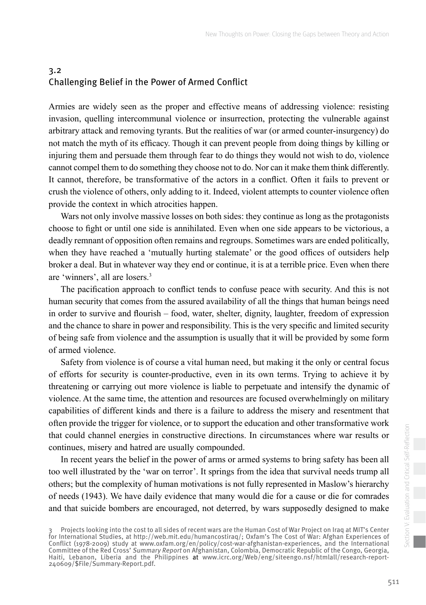# <span id="page-6-0"></span>3.2 Challenging Belief in the Power of Armed Conflict

Armies are widely seen as the proper and effective means of addressing violence: resisting invasion, quelling intercommunal violence or insurrection, protecting the vulnerable against arbitrary attack and removing tyrants. But the realities of war (or armed counter-insurgency) do not match the myth of its efficacy. Though it can prevent people from doing things by killing or injuring them and persuade them through fear to do things they would not wish to do, violence cannot compel them to do something they choose not to do. Nor can it make them think differently. It cannot, therefore, be transformative of the actors in a conflict. Often it fails to prevent or crush the violence of others, only adding to it. Indeed, violent attempts to counter violence often provide the context in which atrocities happen.

Wars not only involve massive losses on both sides: they continue as long as the protagonists choose to fight or until one side is annihilated. Even when one side appears to be victorious, a deadly remnant of opposition often remains and regroups. Sometimes wars are ended politically, when they have reached a 'mutually hurting stalemate' or the good offices of outsiders help broker a deal. But in whatever way they end or continue, it is at a terrible price. Even when there are 'winners', all are losers.3

The pacification approach to conflict tends to confuse peace with security. And this is not human security that comes from the assured availability of all the things that human beings need in order to survive and flourish – food, water, shelter, dignity, laughter, freedom of expression and the chance to share in power and responsibility. This is the very specific and limited security of being safe from violence and the assumption is usually that it will be provided by some form of armed violence.

Safety from violence is of course a vital human need, but making it the only or central focus of efforts for security is counter-productive, even in its own terms. Trying to achieve it by threatening or carrying out more violence is liable to perpetuate and intensify the dynamic of violence. At the same time, the attention and resources are focused overwhelmingly on military capabilities of different kinds and there is a failure to address the misery and resentment that often provide the trigger for violence, or to support the education and other transformative work that could channel energies in constructive directions. In circumstances where war results or continues, misery and hatred are usually compounded.

In recent years the belief in the power of arms or armed systems to bring safety has been all too well illustrated by the 'war on terror'. It springs from the idea that survival needs trump all others; but the complexity of human motivations is not fully represented in Maslow's hierarchy of needs (1943). We have daily evidence that many would die for a cause or die for comrades and that suicide bombers are encouraged, not deterred, by wars supposedly designed to make

<sup>3</sup> Projects looking into the cost to all sides of recent wars are the Human Cost of War Project on Iraq at MIT's Center for International Studies, at http://web.mit.edu/humancostiraq/; Oxfam's The Cost of War: Afghan Experiences of Conflict (1978-2009) study at www.oxfam.org/en/policy/cost-war-afghanistan-experiences, and the International Committee of the Red Cross' Summary Report on Afghanistan, Colombia, Democratic Republic of the Congo, Georgia, Haiti, Lebanon, Liberia and the Philippines at www.icrc.org/Web/eng/siteeng0.nsf/htmlall/research-report-240609/\$File/Summary-Report.pdf.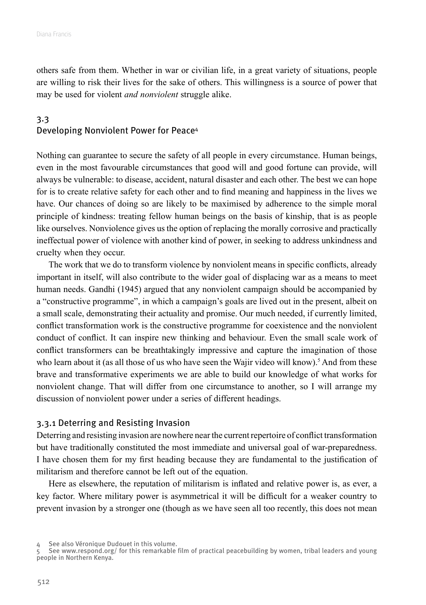<span id="page-7-0"></span>others safe from them. Whether in war or civilian life, in a great variety of situations, people are willing to risk their lives for the sake of others. This willingness is a source of power that may be used for violent *and nonviolent* struggle alike.

### 3.3 Developing Nonviolent Power for Peace4

Nothing can guarantee to secure the safety of all people in every circumstance. Human beings, even in the most favourable circumstances that good will and good fortune can provide, will always be vulnerable: to disease, accident, natural disaster and each other. The best we can hope for is to create relative safety for each other and to find meaning and happiness in the lives we have. Our chances of doing so are likely to be maximised by adherence to the simple moral principle of kindness: treating fellow human beings on the basis of kinship, that is as people like ourselves. Nonviolence gives us the option of replacing the morally corrosive and practically ineffectual power of violence with another kind of power, in seeking to address unkindness and cruelty when they occur.

The work that we do to transform violence by nonviolent means in specific conflicts, already important in itself, will also contribute to the wider goal of displacing war as a means to meet human needs. Gandhi (1945) argued that any nonviolent campaign should be accompanied by a "constructive programme", in which a campaign's goals are lived out in the present, albeit on a small scale, demonstrating their actuality and promise. Our much needed, if currently limited, conflict transformation work is the constructive programme for coexistence and the nonviolent conduct of conflict. It can inspire new thinking and behaviour. Even the small scale work of conflict transformers can be breathtakingly impressive and capture the imagination of those who learn about it (as all those of us who have seen the Wajir video will know).<sup>5</sup> And from these brave and transformative experiments we are able to build our knowledge of what works for nonviolent change. That will differ from one circumstance to another, so I will arrange my discussion of nonviolent power under a series of different headings.

#### 3.3.1 Deterring and Resisting Invasion

Deterring and resisting invasion are nowhere near the current repertoire of conflict transformation but have traditionally constituted the most immediate and universal goal of war-preparedness. I have chosen them for my first heading because they are fundamental to the justification of militarism and therefore cannot be left out of the equation.

Here as elsewhere, the reputation of militarism is inflated and relative power is, as ever, a key factor. Where military power is asymmetrical it will be difficult for a weaker country to prevent invasion by a stronger one (though as we have seen all too recently, this does not mean

<sup>4</sup> See also Véronique Dudouet in this volume.

<sup>5</sup> See www.respond.org/ for this remarkable film of practical peacebuilding by women, tribal leaders and young people in Northern Kenya.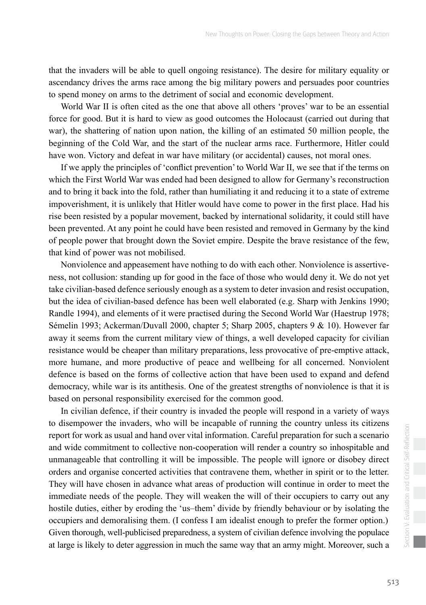that the invaders will be able to quell ongoing resistance). The desire for military equality or ascendancy drives the arms race among the big military powers and persuades poor countries to spend money on arms to the detriment of social and economic development.

World War II is often cited as the one that above all others 'proves' war to be an essential force for good. But it is hard to view as good outcomes the Holocaust (carried out during that war), the shattering of nation upon nation, the killing of an estimated 50 million people, the beginning of the Cold War, and the start of the nuclear arms race. Furthermore, Hitler could have won. Victory and defeat in war have military (or accidental) causes, not moral ones.

If we apply the principles of 'conflict prevention' to World War II, we see that if the terms on which the First World War was ended had been designed to allow for Germany's reconstruction and to bring it back into the fold, rather than humiliating it and reducing it to a state of extreme impoverishment, it is unlikely that Hitler would have come to power in the first place. Had his rise been resisted by a popular movement, backed by international solidarity, it could still have been prevented. At any point he could have been resisted and removed in Germany by the kind of people power that brought down the Soviet empire. Despite the brave resistance of the few, that kind of power was not mobilised.

Nonviolence and appeasement have nothing to do with each other. Nonviolence is assertiveness, not collusion: standing up for good in the face of those who would deny it. We do not yet take civilian-based defence seriously enough as a system to deter invasion and resist occupation, but the idea of civilian-based defence has been well elaborated (e.g. Sharp with Jenkins 1990; Randle 1994), and elements of it were practised during the Second World War (Haestrup 1978; Sémelin 1993; Ackerman/Duvall 2000, chapter 5; Sharp 2005, chapters 9 & 10). However far away it seems from the current military view of things, a well developed capacity for civilian resistance would be cheaper than military preparations, less provocative of pre-emptive attack, more humane, and more productive of peace and wellbeing for all concerned. Nonviolent defence is based on the forms of collective action that have been used to expand and defend democracy, while war is its antithesis. One of the greatest strengths of nonviolence is that it is based on personal responsibility exercised for the common good.

In civilian defence, if their country is invaded the people will respond in a variety of ways to disempower the invaders, who will be incapable of running the country unless its citizens report for work as usual and hand over vital information. Careful preparation for such a scenario and wide commitment to collective non-cooperation will render a country so inhospitable and unmanageable that controlling it will be impossible. The people will ignore or disobey direct orders and organise concerted activities that contravene them, whether in spirit or to the letter. They will have chosen in advance what areas of production will continue in order to meet the immediate needs of the people. They will weaken the will of their occupiers to carry out any hostile duties, either by eroding the 'us–them' divide by friendly behaviour or by isolating the occupiers and demoralising them. (I confess I am idealist enough to prefer the former option.) Given thorough, well-publicised preparedness, a system of civilian defence involving the populace at large is likely to deter aggression in much the same way that an army might. Moreover, such a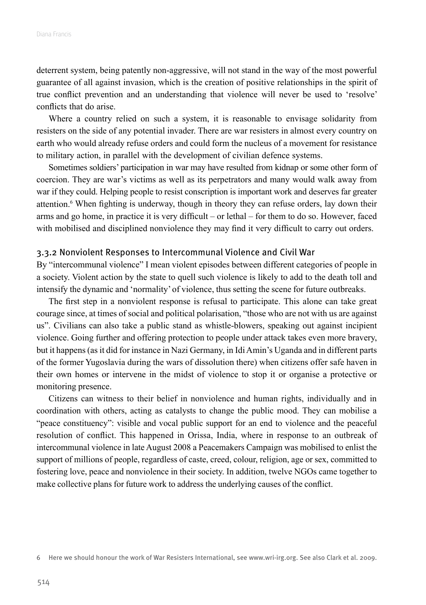deterrent system, being patently non-aggressive, will not stand in the way of the most powerful guarantee of all against invasion, which is the creation of positive relationships in the spirit of true conflict prevention and an understanding that violence will never be used to 'resolve' conflicts that do arise.

Where a country relied on such a system, it is reasonable to envisage solidarity from resisters on the side of any potential invader. There are war resisters in almost every country on earth who would already refuse orders and could form the nucleus of a movement for resistance to military action, in parallel with the development of civilian defence systems.

Sometimes soldiers' participation in war may have resulted from kidnap or some other form of coercion. They are war's victims as well as its perpetrators and many would walk away from war if they could. Helping people to resist conscription is important work and deserves far greater attention.6 When fighting is underway, though in theory they can refuse orders, lay down their arms and go home, in practice it is very difficult – or lethal – for them to do so. However, faced with mobilised and disciplined nonviolence they may find it very difficult to carry out orders.

#### 3.3.2 Nonviolent Responses to Intercommunal Violence and Civil War

By "intercommunal violence" I mean violent episodes between different categories of people in a society. Violent action by the state to quell such violence is likely to add to the death toll and intensify the dynamic and 'normality' of violence, thus setting the scene for future outbreaks.

The first step in a nonviolent response is refusal to participate. This alone can take great courage since, at times of social and political polarisation, "those who are not with us are against us". Civilians can also take a public stand as whistle-blowers, speaking out against incipient violence. Going further and offering protection to people under attack takes even more bravery, but it happens (as it did for instance in Nazi Germany, in Idi Amin's Uganda and in different parts of the former Yugoslavia during the wars of dissolution there) when citizens offer safe haven in their own homes or intervene in the midst of violence to stop it or organise a protective or monitoring presence.

Citizens can witness to their belief in nonviolence and human rights, individually and in coordination with others, acting as catalysts to change the public mood. They can mobilise a "peace constituency": visible and vocal public support for an end to violence and the peaceful resolution of conflict. This happened in Orissa, India, where in response to an outbreak of intercommunal violence in late August 2008 a Peacemakers Campaign was mobilised to enlist the support of millions of people, regardless of caste, creed, colour, religion, age or sex, committed to fostering love, peace and nonviolence in their society. In addition, twelve NGOs came together to make collective plans for future work to address the underlying causes of the conflict.

<sup>6</sup> Here we should honour the work of War Resisters International, see www.wri-irg.org. See also Clark et al. 2009.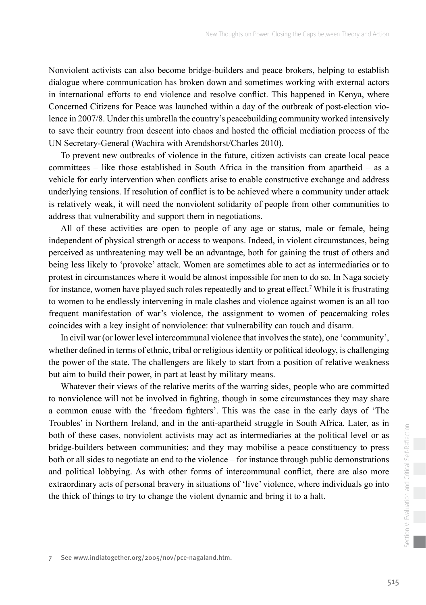Nonviolent activists can also become bridge-builders and peace brokers, helping to establish dialogue where communication has broken down and sometimes working with external actors in international efforts to end violence and resolve conflict. This happened in Kenya, where Concerned Citizens for Peace was launched within a day of the outbreak of post-election violence in 2007/8. Under this umbrella the country's peacebuilding community worked intensively to save their country from descent into chaos and hosted the official mediation process of the UN Secretary-General (Wachira with Arendshorst/Charles 2010).

To prevent new outbreaks of violence in the future, citizen activists can create local peace committees – like those established in South Africa in the transition from apartheid – as a vehicle for early intervention when conflicts arise to enable constructive exchange and address underlying tensions. If resolution of conflict is to be achieved where a community under attack is relatively weak, it will need the nonviolent solidarity of people from other communities to address that vulnerability and support them in negotiations.

All of these activities are open to people of any age or status, male or female, being independent of physical strength or access to weapons. Indeed, in violent circumstances, being perceived as unthreatening may well be an advantage, both for gaining the trust of others and being less likely to 'provoke' attack. Women are sometimes able to act as intermediaries or to protest in circumstances where it would be almost impossible for men to do so. In Naga society for instance, women have played such roles repeatedly and to great effect.<sup>7</sup> While it is frustrating to women to be endlessly intervening in male clashes and violence against women is an all too frequent manifestation of war's violence, the assignment to women of peacemaking roles coincides with a key insight of nonviolence: that vulnerability can touch and disarm.

In civil war (or lower level intercommunal violence that involves the state), one 'community', whether defined in terms of ethnic, tribal or religious identity or political ideology, is challenging the power of the state. The challengers are likely to start from a position of relative weakness but aim to build their power, in part at least by military means.

Whatever their views of the relative merits of the warring sides, people who are committed to nonviolence will not be involved in fighting, though in some circumstances they may share a common cause with the 'freedom fighters'. This was the case in the early days of 'The Troubles' in Northern Ireland, and in the anti-apartheid struggle in South Africa. Later, as in both of these cases, nonviolent activists may act as intermediaries at the political level or as bridge-builders between communities; and they may mobilise a peace constituency to press both or all sides to negotiate an end to the violence – for instance through public demonstrations and political lobbying. As with other forms of intercommunal conflict, there are also more extraordinary acts of personal bravery in situations of 'live' violence, where individuals go into the thick of things to try to change the violent dynamic and bring it to a halt.

7 See www.indiatogether.org/2005/nov/pce-nagaland.htm.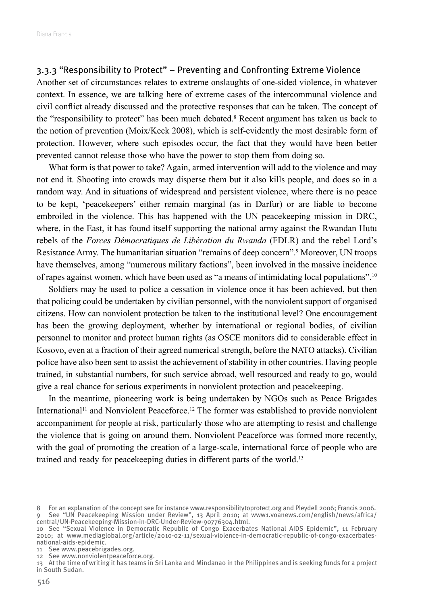#### 3.3.3 "Responsibility to Protect" – Preventing and Confronting Extreme Violence

Another set of circumstances relates to extreme onslaughts of one-sided violence, in whatever context. In essence, we are talking here of extreme cases of the intercommunal violence and civil conflict already discussed and the protective responses that can be taken. The concept of the "responsibility to protect" has been much debated.<sup>8</sup> Recent argument has taken us back to the notion of prevention (Moix/Keck 2008), which is self-evidently the most desirable form of protection. However, where such episodes occur, the fact that they would have been better prevented cannot release those who have the power to stop them from doing so.

What form is that power to take? Again, armed intervention will add to the violence and may not end it. Shooting into crowds may disperse them but it also kills people, and does so in a random way. And in situations of widespread and persistent violence, where there is no peace to be kept, 'peacekeepers' either remain marginal (as in Darfur) or are liable to become embroiled in the violence. This has happened with the UN peacekeeping mission in DRC, where, in the East, it has found itself supporting the national army against the Rwandan Hutu rebels of the *Forces Démocratiques de Libération du Rwanda* (FDLR) and the rebel Lord's Resistance Army. The humanitarian situation "remains of deep concern".<sup>9</sup> Moreover, UN troops have themselves, among "numerous military factions", been involved in the massive incidence of rapes against women, which have been used as "a means of intimidating local populations".10

Soldiers may be used to police a cessation in violence once it has been achieved, but then that policing could be undertaken by civilian personnel, with the nonviolent support of organised citizens. How can nonviolent protection be taken to the institutional level? One encouragement has been the growing deployment, whether by international or regional bodies, of civilian personnel to monitor and protect human rights (as OSCE monitors did to considerable effect in Kosovo, even at a fraction of their agreed numerical strength, before the NATO attacks). Civilian police have also been sent to assist the achievement of stability in other countries. Having people trained, in substantial numbers, for such service abroad, well resourced and ready to go, would give a real chance for serious experiments in nonviolent protection and peacekeeping.

In the meantime, pioneering work is being undertaken by NGOs such as Peace Brigades International<sup>11</sup> and Nonviolent Peaceforce.<sup>12</sup> The former was established to provide nonviolent accompaniment for people at risk, particularly those who are attempting to resist and challenge the violence that is going on around them. Nonviolent Peaceforce was formed more recently, with the goal of promoting the creation of a large-scale, international force of people who are trained and ready for peacekeeping duties in different parts of the world.<sup>13</sup>

11 See www.peacebrigades.org.

<sup>8</sup> For an explanation of the concept see for instance www.responsibilitytoprotect.org and Pleydell 2006; Francis 2006. 9 See "UN Peacekeeping Mission under Review", 13 April 2010; at www1.voanews.com/english/news/africa/ central/UN-Peacekeeping-Mission-in-DRC-Under-Review-90776304.html.

<sup>10</sup> See "Sexual Violence in Democratic Republic of Congo Exacerbates National AIDS Epidemic", 11 February 2010; at www.mediaglobal.org/article/2010-02-11/sexual-violence-in-democratic-republic-of-congo-exacerbatesnational-aids-epidemic.

<sup>12</sup> See www.nonviolentpeaceforce.org.

<sup>13</sup> At the time of writing it has teams in Sri Lanka and Mindanao in the Philippines and is seeking funds for a project in South Sudan.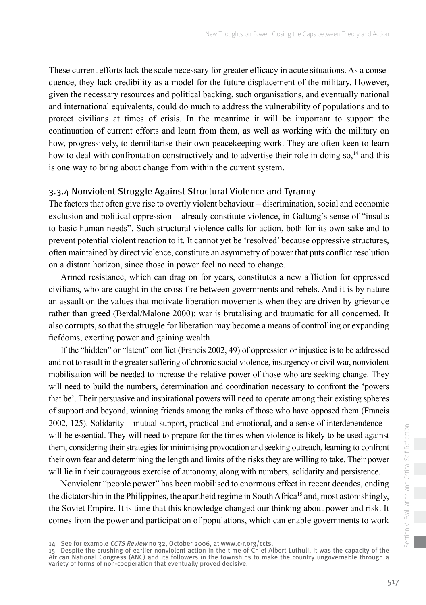These current efforts lack the scale necessary for greater efficacy in acute situations. As a consequence, they lack credibility as a model for the future displacement of the military. However, given the necessary resources and political backing, such organisations, and eventually national and international equivalents, could do much to address the vulnerability of populations and to protect civilians at times of crisis. In the meantime it will be important to support the continuation of current efforts and learn from them, as well as working with the military on how, progressively, to demilitarise their own peacekeeping work. They are often keen to learn how to deal with confrontation constructively and to advertise their role in doing  $\text{so},^{14}$  and this is one way to bring about change from within the current system.

### 3.3.4 Nonviolent Struggle Against Structural Violence and Tyranny

The factors that often give rise to overtly violent behaviour – discrimination, social and economic exclusion and political oppression – already constitute violence, in Galtung's sense of "insults to basic human needs". Such structural violence calls for action, both for its own sake and to prevent potential violent reaction to it. It cannot yet be 'resolved' because oppressive structures, often maintained by direct violence, constitute an asymmetry of power that puts conflict resolution on a distant horizon, since those in power feel no need to change.

Armed resistance, which can drag on for years, constitutes a new affliction for oppressed civilians, who are caught in the cross-fire between governments and rebels. And it is by nature an assault on the values that motivate liberation movements when they are driven by grievance rather than greed (Berdal/Malone 2000): war is brutalising and traumatic for all concerned. It also corrupts, so that the struggle for liberation may become a means of controlling or expanding fiefdoms, exerting power and gaining wealth.

If the "hidden" or "latent" conflict (Francis 2002, 49) of oppression or injustice is to be addressed and not to result in the greater suffering of chronic social violence, insurgency or civil war, nonviolent mobilisation will be needed to increase the relative power of those who are seeking change. They will need to build the numbers, determination and coordination necessary to confront the 'powers that be'. Their persuasive and inspirational powers will need to operate among their existing spheres of support and beyond, winning friends among the ranks of those who have opposed them (Francis 2002, 125). Solidarity – mutual support, practical and emotional, and a sense of interdependence – will be essential. They will need to prepare for the times when violence is likely to be used against them, considering their strategies for minimising provocation and seeking outreach, learning to confront their own fear and determining the length and limits of the risks they are willing to take. Their power will lie in their courageous exercise of autonomy, along with numbers, solidarity and persistence.

Nonviolent "people power" has been mobilised to enormous effect in recent decades, ending the dictatorship in the Philippines, the apartheid regime in South Africa<sup>15</sup> and, most astonishingly, the Soviet Empire. It is time that this knowledge changed our thinking about power and risk. It comes from the power and participation of populations, which can enable governments to work

<sup>14</sup> See for example CCTS Review no 32, October 2006, at www.c-r.org/ccts.

<sup>15</sup> Despite the crushing of earlier nonviolent action in the time of Chief Albert Luthuli, it was the capacity of the African National Congress (ANC) and its followers in the townships to make the country ungovernable through a variety of forms of non-cooperation that eventually proved decisive.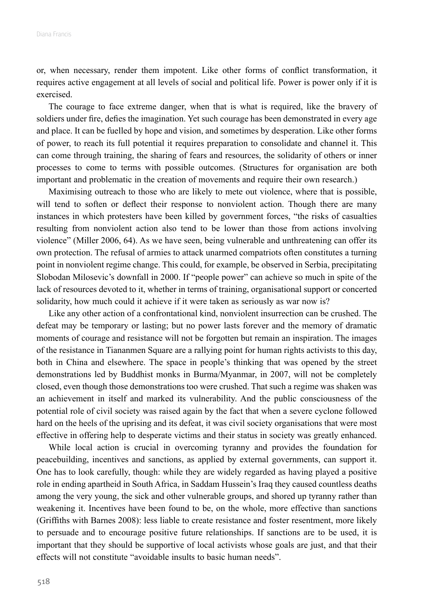or, when necessary, render them impotent. Like other forms of conflict transformation, it requires active engagement at all levels of social and political life. Power is power only if it is exercised.

The courage to face extreme danger, when that is what is required, like the bravery of soldiers under fire, defies the imagination. Yet such courage has been demonstrated in every age and place. It can be fuelled by hope and vision, and sometimes by desperation. Like other forms of power, to reach its full potential it requires preparation to consolidate and channel it. This can come through training, the sharing of fears and resources, the solidarity of others or inner processes to come to terms with possible outcomes. (Structures for organisation are both important and problematic in the creation of movements and require their own research.)

Maximising outreach to those who are likely to mete out violence, where that is possible, will tend to soften or deflect their response to nonviolent action. Though there are many instances in which protesters have been killed by government forces, "the risks of casualties resulting from nonviolent action also tend to be lower than those from actions involving violence" (Miller 2006, 64). As we have seen, being vulnerable and unthreatening can offer its own protection. The refusal of armies to attack unarmed compatriots often constitutes a turning point in nonviolent regime change. This could, for example, be observed in Serbia, precipitating Slobodan Milosevic's downfall in 2000. If "people power" can achieve so much in spite of the lack of resources devoted to it, whether in terms of training, organisational support or concerted solidarity, how much could it achieve if it were taken as seriously as war now is?

Like any other action of a confrontational kind, nonviolent insurrection can be crushed. The defeat may be temporary or lasting; but no power lasts forever and the memory of dramatic moments of courage and resistance will not be forgotten but remain an inspiration. The images of the resistance in Tiananmen Square are a rallying point for human rights activists to this day, both in China and elsewhere. The space in people's thinking that was opened by the street demonstrations led by Buddhist monks in Burma/Myanmar, in 2007, will not be completely closed, even though those demonstrations too were crushed. That such a regime was shaken was an achievement in itself and marked its vulnerability. And the public consciousness of the potential role of civil society was raised again by the fact that when a severe cyclone followed hard on the heels of the uprising and its defeat, it was civil society organisations that were most effective in offering help to desperate victims and their status in society was greatly enhanced.

While local action is crucial in overcoming tyranny and provides the foundation for peacebuilding, incentives and sanctions, as applied by external governments, can support it. One has to look carefully, though: while they are widely regarded as having played a positive role in ending apartheid in South Africa, in Saddam Hussein's Iraq they caused countless deaths among the very young, the sick and other vulnerable groups, and shored up tyranny rather than weakening it. Incentives have been found to be, on the whole, more effective than sanctions (Griffiths with Barnes 2008): less liable to create resistance and foster resentment, more likely to persuade and to encourage positive future relationships. If sanctions are to be used, it is important that they should be supportive of local activists whose goals are just, and that their effects will not constitute "avoidable insults to basic human needs".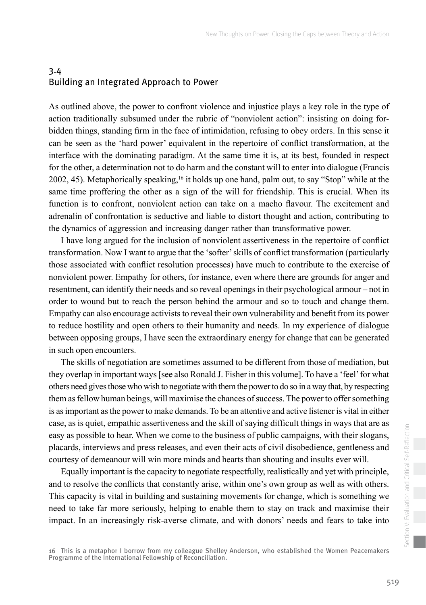# <span id="page-14-0"></span>3.4 Building an Integrated Approach to Power

As outlined above, the power to confront violence and injustice plays a key role in the type of action traditionally subsumed under the rubric of "nonviolent action": insisting on doing forbidden things, standing firm in the face of intimidation, refusing to obey orders. In this sense it can be seen as the 'hard power' equivalent in the repertoire of conflict transformation, at the interface with the dominating paradigm. At the same time it is, at its best, founded in respect for the other, a determination not to do harm and the constant will to enter into dialogue (Francis 2002, 45). Metaphorically speaking,16 it holds up one hand, palm out, to say "Stop" while at the same time proffering the other as a sign of the will for friendship. This is crucial. When its function is to confront, nonviolent action can take on a macho flavour. The excitement and adrenalin of confrontation is seductive and liable to distort thought and action, contributing to the dynamics of aggression and increasing danger rather than transformative power.

I have long argued for the inclusion of nonviolent assertiveness in the repertoire of conflict transformation. Now I want to argue that the 'softer' skills of conflict transformation (particularly those associated with conflict resolution processes) have much to contribute to the exercise of nonviolent power. Empathy for others, for instance, even where there are grounds for anger and resentment, can identify their needs and so reveal openings in their psychological armour – not in order to wound but to reach the person behind the armour and so to touch and change them. Empathy can also encourage activists to reveal their own vulnerability and benefit from its power to reduce hostility and open others to their humanity and needs. In my experience of dialogue between opposing groups, I have seen the extraordinary energy for change that can be generated in such open encounters.

The skills of negotiation are sometimes assumed to be different from those of mediation, but they overlap in important ways [see also Ronald J. Fisher in this volume]. To have a 'feel' for what others need gives those who wish to negotiate with them the power to do so in a way that, by respecting them as fellow human beings, will maximise the chances of success. The power to offer something is as important as the power to make demands. To be an attentive and active listener is vital in either case, as is quiet, empathic assertiveness and the skill of saying difficult things in ways that are as easy as possible to hear. When we come to the business of public campaigns, with their slogans, placards, interviews and press releases, and even their acts of civil disobedience, gentleness and courtesy of demeanour will win more minds and hearts than shouting and insults ever will.

Equally important is the capacity to negotiate respectfully, realistically and yet with principle, and to resolve the conflicts that constantly arise, within one's own group as well as with others. This capacity is vital in building and sustaining movements for change, which is something we need to take far more seriously, helping to enable them to stay on track and maximise their impact. In an increasingly risk-averse climate, and with donors' needs and fears to take into

16 This is a metaphor I borrow from my colleague Shelley Anderson, who established the Women Peacemakers Programme of the International Fellowship of Reconciliation.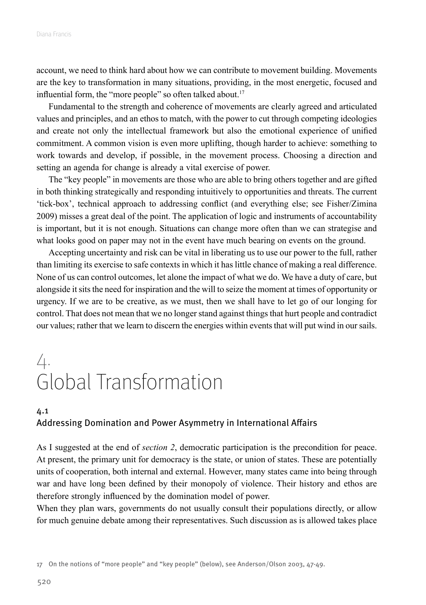<span id="page-15-0"></span>account, we need to think hard about how we can contribute to movement building. Movements are the key to transformation in many situations, providing, in the most energetic, focused and influential form, the "more people" so often talked about.<sup>17</sup>

Fundamental to the strength and coherence of movements are clearly agreed and articulated values and principles, and an ethos to match, with the power to cut through competing ideologies and create not only the intellectual framework but also the emotional experience of unified commitment. A common vision is even more uplifting, though harder to achieve: something to work towards and develop, if possible, in the movement process. Choosing a direction and setting an agenda for change is already a vital exercise of power.

The "key people" in movements are those who are able to bring others together and are gifted in both thinking strategically and responding intuitively to opportunities and threats. The current 'tick-box', technical approach to addressing conflict (and everything else; see Fisher/Zimina 2009) misses a great deal of the point. The application of logic and instruments of accountability is important, but it is not enough. Situations can change more often than we can strategise and what looks good on paper may not in the event have much bearing on events on the ground.

Accepting uncertainty and risk can be vital in liberating us to use our power to the full, rather than limiting its exercise to safe contexts in which it has little chance of making a real difference. None of us can control outcomes, let alone the impact of what we do. We have a duty of care, but alongside it sits the need for inspiration and the will to seize the moment at times of opportunity or urgency. If we are to be creative, as we must, then we shall have to let go of our longing for control. That does not mean that we no longer stand against things that hurt people and contradict our values; rather that we learn to discern the energies within events that will put wind in our sails.

# 4. Global Transformation

## 4.1 Addressing Domination and Power Asymmetry in International Affairs

As I suggested at the end of *section 2*, democratic participation is the precondition for peace. At present, the primary unit for democracy is the state, or union of states. These are potentially units of cooperation, both internal and external. However, many states came into being through war and have long been defined by their monopoly of violence. Their history and ethos are therefore strongly influenced by the domination model of power.

When they plan wars, governments do not usually consult their populations directly, or allow for much genuine debate among their representatives. Such discussion as is allowed takes place

<sup>17</sup> On the notions of "more people" and "key people" (below), see Anderson/Olson 2003, 47-49.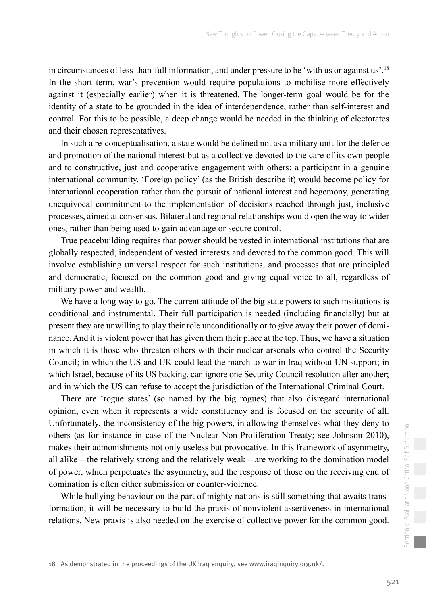in circumstances of less-than-full information, and under pressure to be 'with us or against us'.<sup>18</sup> In the short term, war's prevention would require populations to mobilise more effectively against it (especially earlier) when it is threatened. The longer-term goal would be for the identity of a state to be grounded in the idea of interdependence, rather than self-interest and control. For this to be possible, a deep change would be needed in the thinking of electorates and their chosen representatives.

In such a re-conceptualisation, a state would be defined not as a military unit for the defence and promotion of the national interest but as a collective devoted to the care of its own people and to constructive, just and cooperative engagement with others: a participant in a genuine international community. 'Foreign policy' (as the British describe it) would become policy for international cooperation rather than the pursuit of national interest and hegemony, generating unequivocal commitment to the implementation of decisions reached through just, inclusive processes, aimed at consensus. Bilateral and regional relationships would open the way to wider ones, rather than being used to gain advantage or secure control.

True peacebuilding requires that power should be vested in international institutions that are globally respected, independent of vested interests and devoted to the common good. This will involve establishing universal respect for such institutions, and processes that are principled and democratic, focused on the common good and giving equal voice to all, regardless of military power and wealth.

We have a long way to go. The current attitude of the big state powers to such institutions is conditional and instrumental. Their full participation is needed (including financially) but at present they are unwilling to play their role unconditionally or to give away their power of dominance. And it is violent power that has given them their place at the top. Thus, we have a situation in which it is those who threaten others with their nuclear arsenals who control the Security Council; in which the US and UK could lead the march to war in Iraq without UN support; in which Israel, because of its US backing, can ignore one Security Council resolution after another; and in which the US can refuse to accept the jurisdiction of the International Criminal Court.

There are 'rogue states' (so named by the big rogues) that also disregard international opinion, even when it represents a wide constituency and is focused on the security of all. Unfortunately, the inconsistency of the big powers, in allowing themselves what they deny to others (as for instance in case of the Nuclear Non-Proliferation Treaty; see Johnson 2010), makes their admonishments not only useless but provocative. In this framework of asymmetry, all alike – the relatively strong and the relatively weak – are working to the domination model of power, which perpetuates the asymmetry, and the response of those on the receiving end of domination is often either submission or counter-violence.

While bullying behaviour on the part of mighty nations is still something that awaits transformation, it will be necessary to build the praxis of nonviolent assertiveness in international relations. New praxis is also needed on the exercise of collective power for the common good.

18 As demonstrated in the proceedings of the UK Iraq enquiry, see www.iraqinquiry.org.uk/.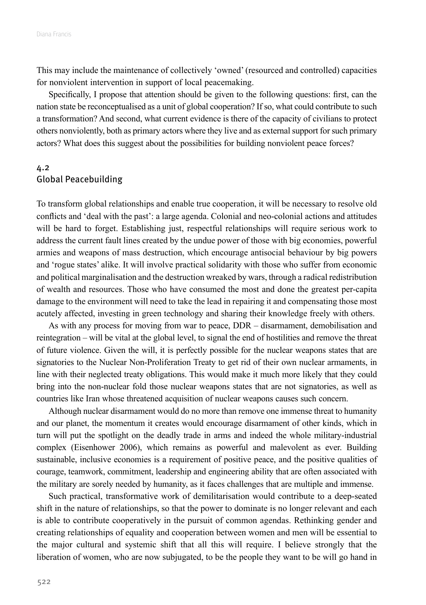<span id="page-17-0"></span>This may include the maintenance of collectively 'owned' (resourced and controlled) capacities for nonviolent intervention in support of local peacemaking.

Specifically, I propose that attention should be given to the following questions: first, can the nation state be reconceptualised as a unit of global cooperation? If so, what could contribute to such a transformation? And second, what current evidence is there of the capacity of civilians to protect others nonviolently, both as primary actors where they live and as external support for such primary actors? What does this suggest about the possibilities for building nonviolent peace forces?

### 4.2 Global Peacebuilding

To transform global relationships and enable true cooperation, it will be necessary to resolve old conflicts and 'deal with the past': a large agenda. Colonial and neo-colonial actions and attitudes will be hard to forget. Establishing just, respectful relationships will require serious work to address the current fault lines created by the undue power of those with big economies, powerful armies and weapons of mass destruction, which encourage antisocial behaviour by big powers and 'rogue states' alike. It will involve practical solidarity with those who suffer from economic and political marginalisation and the destruction wreaked by wars, through a radical redistribution of wealth and resources. Those who have consumed the most and done the greatest per-capita damage to the environment will need to take the lead in repairing it and compensating those most acutely affected, investing in green technology and sharing their knowledge freely with others.

As with any process for moving from war to peace, DDR – disarmament, demobilisation and reintegration – will be vital at the global level, to signal the end of hostilities and remove the threat of future violence. Given the will, it is perfectly possible for the nuclear weapons states that are signatories to the Nuclear Non-Proliferation Treaty to get rid of their own nuclear armaments, in line with their neglected treaty obligations. This would make it much more likely that they could bring into the non-nuclear fold those nuclear weapons states that are not signatories, as well as countries like Iran whose threatened acquisition of nuclear weapons causes such concern.

Although nuclear disarmament would do no more than remove one immense threat to humanity and our planet, the momentum it creates would encourage disarmament of other kinds, which in turn will put the spotlight on the deadly trade in arms and indeed the whole military-industrial complex (Eisenhower 2006), which remains as powerful and malevolent as ever. Building sustainable, inclusive economies is a requirement of positive peace, and the positive qualities of courage, teamwork, commitment, leadership and engineering ability that are often associated with the military are sorely needed by humanity, as it faces challenges that are multiple and immense.

Such practical, transformative work of demilitarisation would contribute to a deep-seated shift in the nature of relationships, so that the power to dominate is no longer relevant and each is able to contribute cooperatively in the pursuit of common agendas. Rethinking gender and creating relationships of equality and cooperation between women and men will be essential to the major cultural and systemic shift that all this will require. I believe strongly that the liberation of women, who are now subjugated, to be the people they want to be will go hand in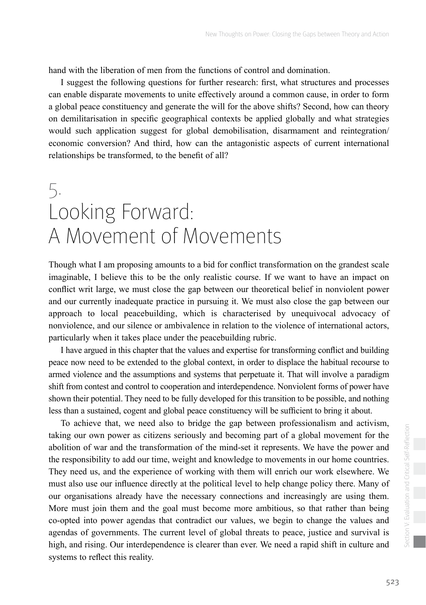<span id="page-18-0"></span>hand with the liberation of men from the functions of control and domination.

I suggest the following questions for further research: first, what structures and processes can enable disparate movements to unite effectively around a common cause, in order to form a global peace constituency and generate the will for the above shifts? Second, how can theory on demilitarisation in specific geographical contexts be applied globally and what strategies would such application suggest for global demobilisation, disarmament and reintegration/ economic conversion? And third, how can the antagonistic aspects of current international relationships be transformed, to the benefit of all?

# 5. Looking Forward: A Movement of Movements

Though what I am proposing amounts to a bid for conflict transformation on the grandest scale imaginable, I believe this to be the only realistic course. If we want to have an impact on conflict writ large, we must close the gap between our theoretical belief in nonviolent power and our currently inadequate practice in pursuing it. We must also close the gap between our approach to local peacebuilding, which is characterised by unequivocal advocacy of nonviolence, and our silence or ambivalence in relation to the violence of international actors, particularly when it takes place under the peacebuilding rubric.

I have argued in this chapter that the values and expertise for transforming conflict and building peace now need to be extended to the global context, in order to displace the habitual recourse to armed violence and the assumptions and systems that perpetuate it. That will involve a paradigm shift from contest and control to cooperation and interdependence. Nonviolent forms of power have shown their potential. They need to be fully developed for this transition to be possible, and nothing less than a sustained, cogent and global peace constituency will be sufficient to bring it about.

To achieve that, we need also to bridge the gap between professionalism and activism, taking our own power as citizens seriously and becoming part of a global movement for the abolition of war and the transformation of the mind-set it represents. We have the power and the responsibility to add our time, weight and knowledge to movements in our home countries. They need us, and the experience of working with them will enrich our work elsewhere. We must also use our influence directly at the political level to help change policy there. Many of our organisations already have the necessary connections and increasingly are using them. More must join them and the goal must become more ambitious, so that rather than being co-opted into power agendas that contradict our values, we begin to change the values and agendas of governments. The current level of global threats to peace, justice and survival is high, and rising. Our interdependence is clearer than ever. We need a rapid shift in culture and systems to reflect this reality.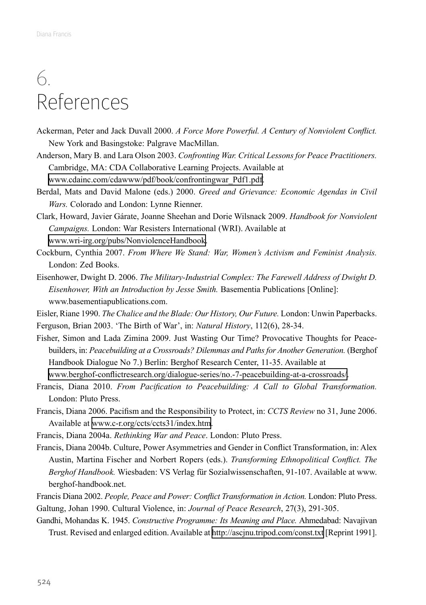# <span id="page-19-0"></span>6. References

- Ackerman, Peter and Jack Duvall 2000. *A Force More Powerful. A Century of Nonviolent Conflict.*  New York and Basingstoke: Palgrave MacMillan.
- Anderson, Mary B. and Lara Olson 2003. *Confronting War. Critical Lessons for Peace Practitioners.*  Cambridge, MA: CDA Collaborative Learning Projects. Available at [www.cdainc.com/cdawww/pdf/book/confrontingwar\\_Pdf1.pdf.](http://www.cdainc.com/cdawww/pdf/book/confrontingwar_Pdf1.pdf)
- Berdal, Mats and David Malone (eds.) 2000. *Greed and Grievance: Economic Agendas in Civil Wars.* Colorado and London: Lynne Rienner.
- Clark, Howard, Javier Gárate, Joanne Sheehan and Dorie Wilsnack 2009. *Handbook for Nonviolent Campaigns.* London: War Resisters International (WRI). Available at [www.wri-irg.org/pubs/NonviolenceHandbook.](http://www.wri-irg.org/pubs/NonviolenceHandbook)
- Cockburn, Cynthia 2007. *From Where We Stand: War, Women's Activism and Feminist Analysis.*  London: Zed Books.
- Eisenhower, Dwight D. 2006. *The Military-Industrial Complex: The Farewell Address of Dwight D. Eisenhower, With an Introduction by Jesse Smith. Basementia Publications [Online]:* www.basementiapublications.com.
- Eisler, Riane 1990. *The Chalice and the Blade: Our History, Our Future.* London: Unwin Paperbacks. Ferguson, Brian 2003. 'The Birth of War', in: *Natural History*, 112(6), 28-34.
- Fisher, Simon and Lada Zimina 2009. Just Wasting Our Time? Provocative Thoughts for Peacebuilders, in: Peacebuilding at a Crossroads? Dilemmas and Paths for Another Generation. (Berghof Handbook Dialogue No 7.) Berlin: Berghof Research Center, 11-35. Available at [www.berghof-conflictresearch.org/dialogue-series/no.-7-peacebuilding-at-a-crossroads/.](http://www.berghof-conflictresearch.org/dialogue-series/no.-7-peacebuilding-at-a-crossroads/)
- Francis, Diana 2010. *From Pacification to Peacebuilding: A Call to Global Transformation.* London: Pluto Press.
- Francis, Diana 2006. Pacifism and the Responsibility to Protect, in: *CCTS Review* no 31, June 2006. Available at [www.c-r.org/ccts/ccts31/index.htm](http://www.c-r.org/ccts/ccts31/index.htm).
- Francis, Diana 2004a. *Rethinking War and Peace*. London: Pluto Press.
- Francis, Diana 2004b. Culture, Power Asymmetries and Gender in Conflict Transformation, in: Alex Austin, Martina Fischer and Norbert Ropers (eds.). *Transforming Ethnopolitical Conflict. The Berghof Handbook.* Wiesbaden: VS Verlag für Sozialwissenschaften, 91-107. Available at www. berghof-handbook.net.
- Francis Diana 2002. *People, Peace and Power: Conflict Transformation in Action.* London: Pluto Press. Galtung, Johan 1990. Cultural Violence, in: *Journal of Peace Research*, 27(3), 291-305.
- Gandhi, Mohandas K. 1945. *Constructive Programme: Its Meaning and Place.* Ahmedabad: Navajivan Trust. Revised and enlarged edition. Available at<http://ascjnu.tripod.com/const.txt> [Reprint 1991].